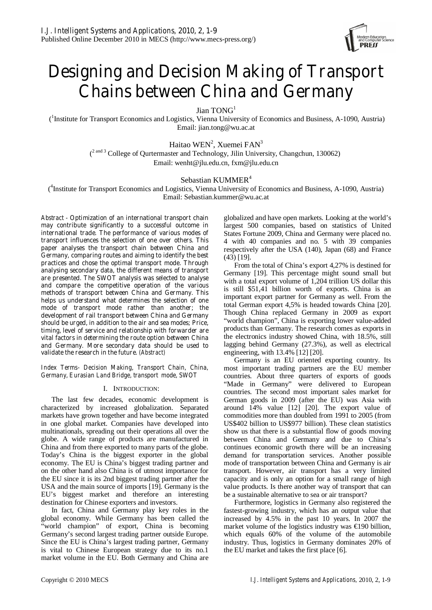

# **Designing and Decision Making of Transport Chains between China and Germany**

Jian TONG<sup>1</sup>

 (1 Institute for Transport Economics and Logistics, Vienna University of Economics and Business, A-1090, Austria) Email: jian.tong@wu.ac.at

> Haitao WEN<sup>2</sup>, Xuemei  $FAN<sup>3</sup>$  $(2 \text{ and } 3 \text{ College of }$  Qurtermaster and Technology, Jilin University, Changchun, 130062) Email: wenht@jlu.edu.cn, fxm@jlu.edu.cn

## Sebastian KUMMER<sup>4</sup>

( 4 Institute for Transport Economics and Logistics, Vienna University of Economics and Business, A-1090, Austria) Email: Sebastian.kummer@wu.ac.at

*Abstract -* **Optimization of an international transport chain may contribute significantly to a successful outcome in international trade. The performance of various modes of transport influences the selection of one over others. This paper analyses the transport chain between China and Germany, comparing routes and aiming to identify the best practices and chose the optimal transport mode. Through analysing secondary data, the different means of transport are presented. The SWOT analysis was selected to analyse and compare the competitive operation of the various methods of transport between China and Germany. This helps us understand what determines the selection of one mode of transport mode rather than another; the development of rail transport between China and Germany should be urged, in addition to the air and sea modes; Price, timing, level of service and relationship with forwarder are vital factors in determining the route option between China and Germany. More secondary data should be used to validate the research in the future.** *(Abstract)* 

#### *Index Terms- Decision Making, Transport Chain, China, Germany, Eurasian Land Bridge, transport mode, SWOT*

### I. INTRODUCTION:

The last few decades, economic development is characterized by increased globalization. Separated markets have grown together and have become integrated in one global market. Companies have developed into multinationals, spreading out their operations all over the globe. A wide range of products are manufactured in China and from there exported to many parts of the globe. Today's China is the biggest exporter in the global economy. The EU is China's biggest trading partner and on the other hand also China is of utmost importance for the EU since it is its 2nd biggest trading partner after the USA and the main source of imports [19]. Germany is the EU's biggest market and therefore an interesting destination for Chinese exporters and investors.

In fact, China and Germany play key roles in the global economy. While Germany has been called the "world champion" of export, China is becoming Germany's second largest trading partner outside Europe. Since the EU is China's largest trading partner, Germany is vital to Chinese European strategy due to its no.1 market volume in the EU. Both Germany and China are

globalized and have open markets. Looking at the world's largest 500 companies, based on statistics of United States Fortune 2009, China and Germany were placed no. 4 with 40 companies and no. 5 with 39 companies respectively after the USA (140), Japan (68) and France (43) [19].

From the total of China's export 4,27% is destined for Germany [19]. This percentage might sound small but with a total export volume of 1,204 trillion US dollar this is still \$51,41 billion worth of exports. China is an important export partner for Germany as well. From the total German export 4,5% is headed towards China [20]. Though China replaced Germany in 2009 as export "world champion", China is exporting lower value-added products than Germany. The research comes as exports in the electronics industry showed China, with 18.5%, still lagging behind Germany (27.3%), as well as electrical engineering, with 13.4% [12] [20].

Germany is an EU oriented exporting country. Its most important trading partners are the EU member countries. About three quarters of exports of goods "Made in Germany" were delivered to European countries. The second most important sales market for German goods in 2009 (after the EU) was Asia with around 14% value [12] [20]. The export value of commodities more than doubled from 1991 to 2005 (from US\$402 billion to US\$977 billion). These clean statistics show us that there is a substantial flow of goods moving between China and Germany and due to China's continues economic growth there will be an increasing demand for transportation services. Another possible mode of transportation between China and Germany is air transport. However, air transport has a very limited capacity and is only an option for a small range of high value products. Is there another way of transport that can be a sustainable alternative to sea or air transport?

Furthermore, logistics in Germany also registered the fastest-growing industry, which has an output value that increased by 4.5% in the past 10 years. In 2007 the market volume of the logistics industry was €190 billion, which equals 60% of the volume of the automobile industry. Thus, logistics in Germany dominates 20% of the EU market and takes the first place [6].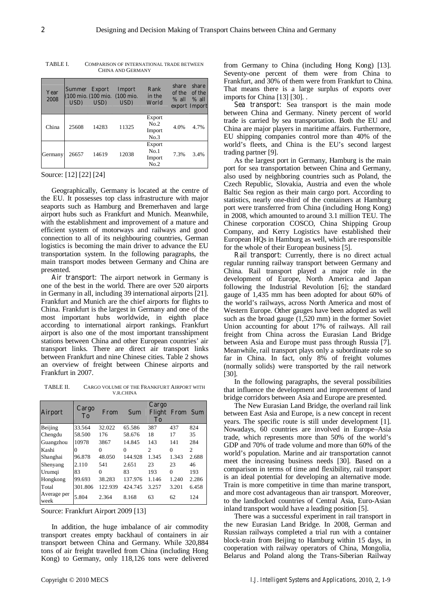| Year<br>2008 | Summer Export<br>USD) | $\bf{USD})$ | Import<br>(100 mio. (100 mio. (100 mio.)<br>USD) | Rank<br>in the<br>World          | share<br>of the<br>$%$ all | share<br>of the<br>$\%$ all<br>export Import |
|--------------|-----------------------|-------------|--------------------------------------------------|----------------------------------|----------------------------|----------------------------------------------|
| China        | 25608                 | 14283       | 11325                                            | Export<br>No.2<br>Import<br>No.3 | 4.0%                       | 4.7%                                         |
| Germany      | 26657                 | 14619       | 12038                                            | Export<br>No.1<br>Import<br>No.2 | 7.3%                       | 3.4%                                         |

TABLE I. COMPARISON OF INTERNATIONAL TRADE BETWEEN CHINA AND GERMANY

Source: [12] [22] [24]

Geographically, Germany is located at the centre of the EU. It possesses top class infrastructure with major seaports such as Hamburg and Bremerhaven and large airport hubs such as Frankfurt and Munich. Meanwhile, with the establishment and improvement of a mature and efficient system of motorways and railways and good connection to all of its neighbouring countries, German logistics is becoming the main driver to advance the EU transportation system. In the following paragraphs, the main transport modes between Germany and China are presented.

**Air transport:** The airport network in Germany is one of the best in the world. There are over 520 airports in Germany in all, including 39 international airports [21]. Frankfurt and Munich are the chief airports for flights to China. Frankfurt is the largest in Germany and one of the most important hubs worldwide, in eighth place according to international airport rankings. Frankfurt airport is also one of the most important transshipment stations between China and other European countries' air transport links. There are direct air transport links between Frankfurt and nine Chinese cities. Table 2 shows an overview of freight between Chinese airports and Frankfurt in 2007.

TABLE II. CARGO VOLUME OF THE FRANKFURT AIRPORT WITH V.R.CHINA

| <b>Airport</b>      | Cargo<br>To | From     | Sum     | Cargo<br>Flight<br>T <sub>0</sub> | From Sum |                |
|---------------------|-------------|----------|---------|-----------------------------------|----------|----------------|
| Beijing             | 33.564      | 32.022   | 65.586  | 387                               | 437      | 824            |
| Chengdu             | 58.500      | 176      | 58.676  | 18                                | 17       | 35             |
| Guangzhou           | 10978       | 3867     | 14.845  | 143                               | 141      | 284            |
| Kashi               | 0           | 0        | 0       | $\mathcal{D}_{\mathcal{A}}$       | $\Omega$ | $\mathfrak{D}$ |
| Shanghai            | 96.878      | 48.050   | 144.928 | 1.345                             | 1.343    | 2.688          |
| Shenyang            | 2.110       | 541      | 2.651   | 23                                | 23       | 46             |
| Urumqi              | 83          | $\Omega$ | 83      | 193                               | $\Omega$ | 193            |
| Hongkong            | 99.693      | 38.283   | 137.976 | 1.146                             | 1.240    | 2.286          |
| Total               | 301.806     | 122.939  | 424.745 | 3.257                             | 3.201    | 6.458          |
| Average per<br>week | 5.804       | 2.364    | 8.168   | 63                                | 62       | 124            |

Source: Frankfurt Airport 2009 [13]

In addition, the huge imbalance of air commodity transport creates empty backhaul of containers in air transport between China and Germany. While 320,884 tons of air freight travelled from China (including Hong Kong) to Germany, only 118,126 tons were delivered from Germany to China (including Hong Kong) [13]. Seventy-one percent of them were from China to Frankfurt, and 30% of them were from Frankfurt to China. That means there is a large surplus of exports over imports for China [13] [30]. .

**Sea transport:** Sea transport is the main mode between China and Germany. Ninety percent of world trade is carried by sea transportation. Both the EU and China are major players in maritime affairs. Furthermore, EU shipping companies control more than 40% of the world's fleets, and China is the EU's second largest trading partner [9].

As the largest port in Germany, Hamburg is the main port for sea transportation between China and Germany, also used by neighboring countries such as Poland, the Czech Republic, Slovakia, Austria and even the whole Baltic Sea region as their main cargo port. According to statistics, nearly one-third of the containers at Hamburg port were transferred from China (including Hong Kong) in 2008, which amounted to around 3.1 million TEU. The Chinese corporation COSCO, China Shipping Group Company, and Kerry Logistics have established their European HQs in Hamburg as well, which are responsible for the whole of their European business [5].

**Rail transport:** Currently, there is no direct actual regular running railway transport between Germany and China. Rail transport played a major role in the development of Europe, North America and Japan following the Industrial Revolution [6]; the standard gauge of 1,435 mm has been adopted for about 60% of the world's railways, across North America and most of Western Europe. Other gauges have been adopted as well such as the broad gauge (1,520 mm) in the former Soviet Union accounting for about 17% of railways. All rail freight from China across the Eurasian Land Bridge between Asia and Europe must pass through Russia [7]. Meanwhile, rail transport plays only a subordinate role so far in China. In fact, only 8% of freight volumes (normally solids) were transported by the rail network [30].

In the following paragraphs, the several possibilities that influence the development and improvement of land bridge corridors between Asia and Europe are presented.

The New Eurasian Land Bridge, the overland rail link between East Asia and Europe, is a new concept in recent years. The specific route is still under development [1]. Nowadays, 60 countries are involved in Europe–Asia trade, which represents more than 50% of the world's GDP and 70% of trade volume and more than 60% of the world's population. Marine and air transportation cannot meet the increasing business needs [30]. Based on a comparison in terms of time and flexibility, rail transport is an ideal potential for developing an alternative mode. Train is more competitive in time than marine transport, and more cost advantageous than air transport. Moreover, to the landlocked countries of Central Asia, Euro-Asian inland transport would have a leading position [5].

There was a successful experiment in rail transport in the new Eurasian Land Bridge. In 2008, German and Russian railways completed a trial run with a container block-train from Beijing to Hamburg within 15 days, in cooperation with railway operators of China, Mongolia, Belarus and Poland along the Trans-Siberian Railway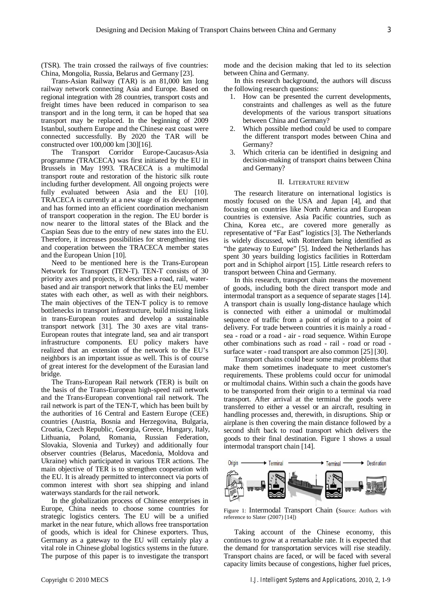(TSR). The train crossed the railways of five countries: China, Mongolia, Russia, Belarus and Germany [23].

Trans-Asian Railway (TAR) is an 81,000 km long railway network connecting Asia and Europe. Based on regional integration with 28 countries, transport costs and freight times have been reduced in comparison to sea transport and in the long term, it can be hoped that sea transport may be replaced. In the beginning of 2009 Istanbul, southern Europe and the Chinese east coast were connected successfully. By 2020 the TAR will be constructed over 100,000 km [30][16].

The Transport Corridor Europe-Caucasus-Asia programme (TRACECA) was first initiated by the EU in Brussels in May 1993. TRACECA is a multimodal transport route and restoration of the historic silk route including further development. All ongoing projects were fully evaluated between Asia and the EU [10]. TRACECA is currently at a new stage of its development and has formed into an efficient coordination mechanism of transport cooperation in the region. The EU border is now nearer to the littoral states of the Black and the Caspian Seas due to the entry of new states into the EU. Therefore, it increases possibilities for strengthening ties and cooperation between the TRACECA member states and the European Union [10].

Need to be mentioned here is the Trans-European Network for Transport (TEN-T). TEN-T consists of 30 priority axes and projects, it describes a road, rail, waterbased and air transport network that links the EU member states with each other, as well as with their neighbors. The main objectives of the TEN-T policy is to remove bottlenecks in transport infrastructure, build missing links in trans-European routes and develop a sustainable transport network [31]. The 30 axes are vital trans-European routes that integrate land, sea and air transport infrastructure components. EU policy makers have realized that an extension of the network to the EU's neighbors is an important issue as well. This is of course of great interest for the development of the Eurasian land bridge.

The Trans-European Rail network (TER) is built on the basis of the Trans-European high-speed rail network and the Trans-European conventional rail network. The rail network is part of the TEN-T, which has been built by the authorities of 16 Central and Eastern Europe (CEE) countries (Austria, Bosnia and Herzegovina, Bulgaria, Croatia, Czech Republic, Georgia, Greece, Hungary, Italy, Lithuania, Poland, Romania, Russian Federation, Slovakia, Slovenia and Turkey) and additionally four observer countries (Belarus, Macedonia, Moldova and Ukraine) which participated in various TER actions. The main objective of TER is to strengthen cooperation with the EU. It is already permitted to interconnect via ports of common interest with short sea shipping and inland waterways standards for the rail network.

In the globalization process of Chinese enterprises in Europe, China needs to choose some countries for strategic logistics centers. The EU will be a unified market in the near future, which allows free transportation of goods, which is ideal for Chinese exporters. Thus, Germany as a gateway to the EU will certainly play a vital role in Chinese global logistics systems in the future. The purpose of this paper is to investigate the transport

mode and the decision making that led to its selection between China and Germany.

In this research background, the authors will discuss the following research questions:

- 1. How can be presented the current developments, constraints and challenges as well as the future developments of the various transport situations between China and Germany?
- 2. Which possible method could be used to compare the different transport modes between China and Germany?
- 3. Which criteria can be identified in designing and decision-making of transport chains between China and Germany?

#### II. LITERATURE REVIEW

The research literature on international logistics is mostly focused on the USA and Japan [4], and that focusing on countries like North America and European countries is extensive. Asia Pacific countries, such as China, Korea etc., are covered more generally as representative of "Far East" logistics [3]. The Netherlands is widely discussed, with Rotterdam being identified as "the gateway to Europe" [5]. Indeed the Netherlands has spent 30 years building logistics facilities in Rotterdam port and in Schiphol airport [15]. Little research refers to transport between China and Germany.

In this research, transport chain means the movement of goods, including both the direct transport mode and intermodal transport as a sequence of separate stages [14]. A transport chain is usually long-distance haulage which is connected with either a unimodal or multimodal sequence of traffic from a point of origin to a point of delivery. For trade between countries it is mainly a road sea - road or a road - air - road sequence. Within Europe other combinations such as road - rail - road or road surface water - road transport are also common [25] [30].

Transport chains could bear some major problems that make them sometimes inadequate to meet customer's requirements. These problems could occur for unimodal or multimodal chains. Within such a chain the goods have to be transported from their origin to a terminal via road transport. After arrival at the terminal the goods were transferred to either a vessel or an aircraft, resulting in handling processes and, therewith, in disruptions. Ship or airplane is then covering the main distance followed by a second shift back to road transport which delivers the goods to their final destination. Figure 1 shows a usual intermodal transport chain [14].



Figure 1: Intermodal Transport Chain (Source: Authors with reference to Slater (2007) [14])

Taking account of the Chinese economy, this continues to grow at a remarkable rate. It is expected that the demand for transportation services will rise steadily. Transport chains are faced, or will be faced with several capacity limits because of congestions, higher fuel prices,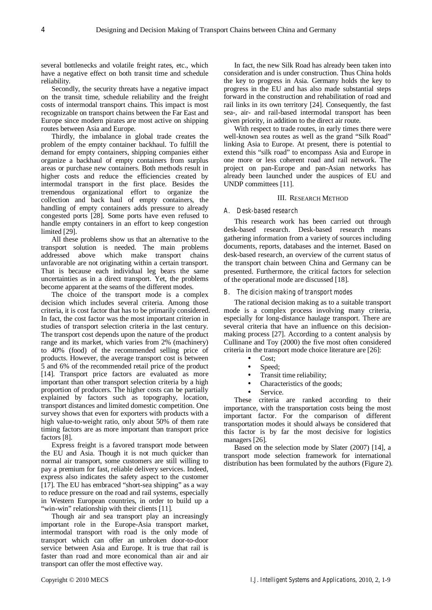several bottlenecks and volatile freight rates, etc., which have a negative effect on both transit time and schedule reliability.

Secondly, the security threats have a negative impact on the transit time, schedule reliability and the freight costs of intermodal transport chains. This impact is most recognizable on transport chains between the Far East and Europe since modern pirates are most active on shipping routes between Asia and Europe.

Thirdly, the imbalance in global trade creates the problem of the empty container backhaul. To fulfill the demand for empty containers, shipping companies either organize a backhaul of empty containers from surplus areas or purchase new containers. Both methods result in higher costs and reduce the efficiencies created by intermodal transport in the first place. Besides the tremendous organizational effort to organize the collection and back haul of empty containers, the handling of empty containers adds pressure to already congested ports [28]. Some ports have even refused to handle empty containers in an effort to keep congestion limited [29].

All these problems show us that an alternative to the transport solution is needed. The main problems addressed above which make transport chains unfavorable are not originating within a certain transport. That is because each individual leg bears the same uncertainties as in a direct transport. Yet, the problems become apparent at the seams of the different modes.

The choice of the transport mode is a complex decision which includes several criteria. Among those criteria, it is cost factor that has to be primarily considered. In fact, the cost factor was the most important criterion in studies of transport selection criteria in the last century. The transport cost depends upon the nature of the product range and its market, which varies from 2% (machinery) to 40% (food) of the recommended selling price of products. However, the average transport cost is between 5 and 6% of the recommended retail price of the product [14]. Transport price factors are evaluated as more important than other transport selection criteria by a high proportion of producers. The higher costs can be partially explained by factors such as topography, location, transport distances and limited domestic competition. One survey shows that even for exporters with products with a high value-to-weight ratio, only about 50% of them rate timing factors are as more important than transport price factors [8].

Express freight is a favored transport mode between the EU and Asia. Though it is not much quicker than normal air transport, some customers are still willing to pay a premium for fast, reliable delivery services. Indeed, express also indicates the safety aspect to the customer [17]. The EU has embraced "short-sea shipping" as a way to reduce pressure on the road and rail systems, especially in Western European countries, in order to build up a "win-win" relationship with their clients [11].

Though air and sea transport play an increasingly important role in the Europe-Asia transport market, intermodal transport with road is the only mode of transport which can offer an unbroken door-to-door service between Asia and Europe. It is true that rail is faster than road and more economical than air and air transport can offer the most effective way.

In fact, the new Silk Road has already been taken into consideration and is under construction. Thus China holds the key to progress in Asia. Germany holds the key to progress in the EU and has also made substantial steps forward in the construction and rehabilitation of road and rail links in its own territory [24]. Consequently, the fast sea-, air- and rail-based intermodal transport has been given priority, in addition to the direct air route.

With respect to trade routes, in early times there were well-known sea routes as well as the grand "Silk Road" linking Asia to Europe. At present, there is potential to extend this "silk road" to encompass Asia and Europe in one more or less coherent road and rail network. The project on pan-Europe and pan-Asian networks has already been launched under the auspices of EU and UNDP committees [11].

#### III. RESEARCH METHOD

### *A. Desk-based research*

This research work has been carried out through desk-based research. Desk-based research means gathering information from a variety of sources including documents, reports, databases and the internet. Based on desk-based research, an overview of the current status of the transport chain between China and Germany can be presented. Furthermore, the critical factors for selection of the operational mode are discussed [18].

#### *B. The dicision making of transport modes*

The rational decision making as to a suitable transport mode is a complex process involving many criteria, especially for long-distance haulage transport. There are several criteria that have an influence on this decisionmaking process [27]. According to a content analysis by Cullinane and Toy (2000) the five most often considered criteria in the transport mode choice literature are [26]:

- $\bullet$  Cost
- Speed;
- Transit time reliability;
- Characteristics of the goods;
- Service.

These criteria are ranked according to their importance, with the transportation costs being the most important factor. For the comparison of different transportation modes it should always be considered that this factor is by far the most decisive for logistics managers [26].

Based on the selection mode by Slater (2007) [14], a transport mode selection framework for international distribution has been formulated by the authors (Figure 2).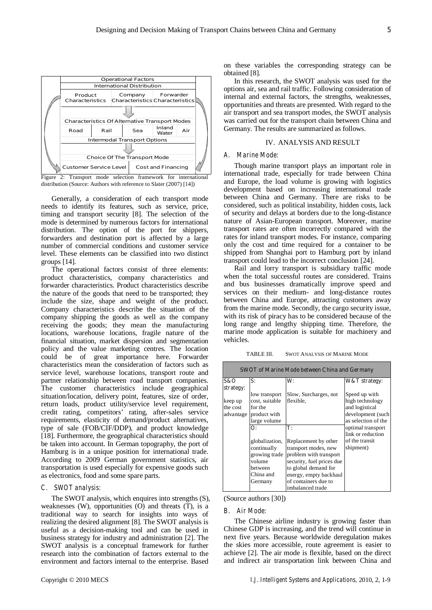

Figure 2: Transport mode selection framework for international distribution (Source: Authors with reference to Slater (2007) [14])

Generally, a consideration of each transport mode needs to identify its features, such as service, price, timing and transport security [8]. The selection of the mode is determined by numerous factors for international distribution. The option of the port for shippers, forwarders and destination port is affected by a large number of commercial conditions and customer service level. These elements can be classified into two distinct groups [14].

The operational factors consist of three elements: product characteristics, company characteristics and forwarder characteristics. Product characteristics describe the nature of the goods that need to be transported; they include the size, shape and weight of the product. Company characteristics describe the situation of the company shipping the goods as well as the company receiving the goods; they mean the manufacturing locations, warehouse locations, fragile nature of the financial situation, market dispersion and segmentation policy and the value marketing centres. The location could be of great importance here. Forwarder characteristics mean the consideration of factors such as service level, warehouse locations, transport route and partner relationship between road transport companies. The customer characteristics include geographical situation/location, delivery point, features, size of order, return loads, product utility/service level requirement, credit rating, competitors' rating, after-sales service requirements, elasticity of demand/product alternatives, type of sale (FOB/CIF/DDP), and product knowledge [18]. Furthermore, the geographical characteristics should be taken into account. In German topography, the port of Hamburg is in a unique position for international trade. According to 2009 German government statistics, air transportation is used especially for expensive goods such as electronics, food and some spare parts.

#### *C. SWOT analysis:*

The SWOT analysis, which enquires into strengths (S), weaknesses (W), opportunities (O) and threats (T), is a traditional way to search for insights into ways of realizing the desired alignment [8]. The SWOT analysis is useful as a decision-making tool and can be used in business strategy for industry and administration [2]. The SWOT analysis is a conceptual framework for further research into the combination of factors external to the environment and factors internal to the enterprise. Based

on these variables the corresponding strategy can be obtained [8].

In this research, the SWOT analysis was used for the options air, sea and rail traffic. Following consideration of internal and external factors, the strengths, weaknesses, opportunities and threats are presented. With regard to the air transport and sea transport modes, the SWOT analysis was carried out for the transport chain between China and Germany. The results are summarized as follows.

#### IV. ANALYSIS AND RESULT

## *A. Marine Mode:*

Though marine transport plays an important role in international trade, especially for trade between China and Europe, the load volume is growing with logistics development based on increasing international trade between China and Germany. There are risks to be considered, such as political instability, hidden costs, lack of security and delays at borders due to the long-distance nature of Asian-European transport. Moreover, marine transport rates are often incorrectly compared with the rates for inland transport modes. For instance, comparing only the cost and time required for a container to be shipped from Shanghai port to Hamburg port by inland transport could lead to the incorrect conclusion [24].

Rail and lorry transport is subsidiary traffic mode when the total successful routes are considered. Trains and bus businesses dramatically improve speed and services on their medium- and long-distance routes between China and Europe, attracting customers away from the marine mode. Secondly, the cargo security issue, with its risk of piracy has to be considered because of the long range and lengthy shipping time. Therefore, the marine mode application is suitable for machinery and vehicles.

TABLE III. SWOT ANALYSIS OF MARINE MODE

| <b>SWOT of Marine Mode between China and Germany</b> |                |                           |                          |  |
|------------------------------------------------------|----------------|---------------------------|--------------------------|--|
| 8&O                                                  | S:             | W:                        | <b>W&amp;T</b> strategy: |  |
| strategy:                                            |                |                           |                          |  |
|                                                      | low transport  | Slow, Surcharges, not     | Speed up with            |  |
| keep up                                              | cost, suitable | flexible.                 | high technology          |  |
| the cost                                             | for the        |                           | and logistical           |  |
| advantage                                            | product with   |                           | development (such        |  |
|                                                      | large volume   |                           | as selection of the      |  |
|                                                      | О:             | T:                        | optimal transport        |  |
|                                                      |                |                           | link or reduction        |  |
|                                                      | globalization, | Replacement by other      | of the transit           |  |
|                                                      | continually    | transport modes, new      | shipment)                |  |
|                                                      | growing trade  | problem with transport    |                          |  |
|                                                      | volume         | security, fuel prices due |                          |  |
|                                                      | between        | to global demand for      |                          |  |
|                                                      | China and      | energy, empty backhaul    |                          |  |
|                                                      | Germany        | of containers due to      |                          |  |
|                                                      |                | imbalanced trade          |                          |  |

(Source authors [30])

#### *B. Air Mode:*

The Chinese airline industry is growing faster than Chinese GDP is increasing, and the trend will continue in next five years. Because worldwide deregulation makes the skies more accessible, route agreement is easier to achieve [2]. The air mode is flexible, based on the direct and indirect air transportation link between China and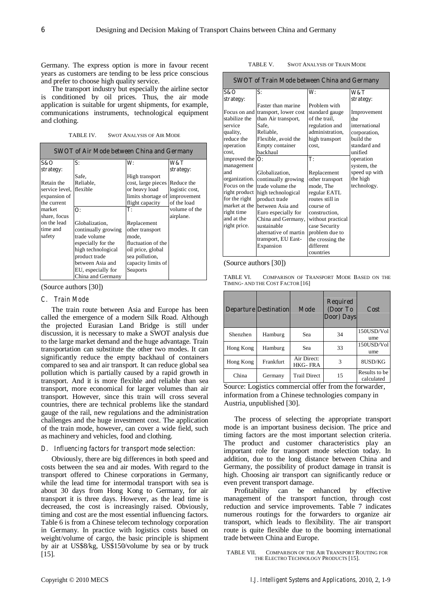Germany. The express option is more in favour recent years as customers are tending to be less price conscious and prefer to choose high quality service.

The transport industry but especially the airline sector is conditioned by oil prices. Thus, the air mode application is suitable for urgent shipments, for example, communications instruments, technological equipment and clothing.

TABLE IV. SWOT ANALYSIS OF AIR MODE

|                         | <b>SWOT</b> of Air Mode between China and Germany |                                |                |
|-------------------------|---------------------------------------------------|--------------------------------|----------------|
| 8&O                     | S:                                                | W:                             | W&T            |
| strategy:               |                                                   |                                | strategy:      |
|                         | Safe,                                             | High transport                 |                |
| Retain the              | Reliable,                                         | cost, large pieces             | Reduce the     |
| service level, flexible |                                                   | or heavy load                  | logistic cost, |
| expansion of            |                                                   | limits shortage of improvement |                |
| the current             |                                                   | flight capacity                | of the load    |
| market                  | $\Omega$ :                                        | т:                             | volume of the  |
| share, focus            |                                                   |                                | airplane.      |
| on the lead             | Globalization,                                    | Replacement                    |                |
| time and                | continually growing                               | other transport                |                |
| safety                  | trade volume                                      | mode,                          |                |
|                         | especially for the                                | fluctuation of the             |                |
|                         | high technological                                | oil price, global              |                |
|                         | product trade                                     | sea pollution,                 |                |
|                         | between Asia and                                  | capacity limits of             |                |
|                         | EU, especially for                                | Seaports                       |                |
|                         | China and Germany                                 |                                |                |

(Source authors [30])

#### *C. Train Mode*

The train route between Asia and Europe has been called the emergence of a modern Silk Road. Although the projected Eurasian Land Bridge is still under discussion, it is necessary to make a SWOT analysis due to the large market demand and the huge advantage. Train transportation can substitute the other two modes. It can significantly reduce the empty backhaul of containers compared to sea and air transport. It can reduce global sea pollution which is partially caused by a rapid growth in transport. And it is more flexible and reliable than sea transport, more economical for larger volumes than air transport. However, since this train will cross several countries, there are technical problems like the standard gauge of the rail, new regulations and the administration challenges and the huge investment cost. The application of the train mode, however, can cover a wide field, such as machinery and vehicles, food and clothing.

## *D. Influencing factors for transport mode selection:*

Obviously, there are big differences in both speed and costs between the sea and air modes. With regard to the transport offered to Chinese corporations in Germany, while the lead time for intermodal transport with sea is about 30 days from Hong Kong to Germany, for air transport it is three days. However, as the lead time is decreased, the cost is increasingly raised. Obviously, timing and cost are the most essential influencing factors. Table 6 is from a Chinese telecom technology corporation in Germany. In practice with logistics costs based on weight/volume of cargo, the basic principle is shipment by air at US\$8/kg, US\$150/volume by sea or by truck [15].

| TABLE V. | <b>SWOT ANALYSIS OF TRAIN MODE</b> |  |  |
|----------|------------------------------------|--|--|
|          |                                    |  |  |

|                         | <b>SWOT of Train Mode between China and Germany</b> |                   |               |
|-------------------------|-----------------------------------------------------|-------------------|---------------|
| <b>S&amp;O</b>          | S:                                                  | W:                | W&T           |
| strategy:               |                                                     |                   | strategy:     |
|                         | Faster than marine                                  | Problem with      |               |
|                         | Focus on and transport, lower cost                  | standard gauge    | Improvement   |
| stabilize the           | than Air transport,                                 | of the trail,     | the           |
| service                 | Safe.                                               | regulation and    | international |
| quality,                | Reliable,                                           | administration,   | corporation,  |
| reduce the              | Flexible, avoid the                                 | high transport    | build the     |
| operation               | Empty container                                     | cost.             | standard and  |
| cost.                   | backhaul                                            |                   | unified       |
| improved the $\bf{O}$ : |                                                     | T:                | operation     |
| management              |                                                     |                   | system, the   |
| and                     | Globalization,                                      | Replacement       | speed up with |
| organization.           | continually growing                                 | other transport   | the high      |
| Focus on the            | trade volume the                                    | mode, The         | technology.   |
| right product           | high technological                                  | regular EATL      |               |
| for the right           | product trade                                       | routes still in   |               |
| market at the           | between Asia and                                    | course of         |               |
| right time              | Euro especially for                                 | construction.     |               |
| and at the              | China and Germany,                                  | without practical |               |
| right price.            | sustainable                                         | case Security     |               |
|                         | alternative of martin                               | problem due to    |               |
|                         | transport, EU East-                                 | the crossing the  |               |
|                         | Expansion                                           | different         |               |
|                         |                                                     | countries         |               |

#### (Source authors [30])

TABLE VI. COMPARISON OF TRANSPORT MODE BASED ON THE TIMING- AND THE COST FACTOR [16]

|           | <b>Departure Destination</b> | Mode                    | <b>Required</b><br>(Door To<br>Door) Days | Cost                        |
|-----------|------------------------------|-------------------------|-------------------------------------------|-----------------------------|
| Shenzhen  | Hamburg                      | Sea                     | 34                                        | 150USD/Vol<br>ume           |
| Hong Kong | Hamburg                      | Sea                     | 33                                        | 150USD/Vol<br>ume           |
| Hong Kong | Frankfurt                    | Air Direct:<br>HKG- FRA | 3                                         | 8USD/KG                     |
| China     | Germany                      | <b>Trail Direct</b>     | 15                                        | Results to be<br>calculated |

Source: Logistics commercial offer from the forwarder, information from a Chinese technologies company in Austria, unpublished [30].

The process of selecting the appropriate transport mode is an important business decision. The price and timing factors are the most important selection criteria. The product and customer characteristics play an important role for transport mode selection today. In addition, due to the long distance between China and Germany, the possibility of product damage in transit is high. Choosing air transport can significantly reduce or even prevent transport damage.

Profitability can be enhanced by effective management of the transport function, through cost reduction and service improvements. Table 7 indicates numerous routings for the forwarders to organize air transport, which leads to flexibility. The air transport route is quite flexible due to the booming international trade between China and Europe.

TABLE VII. COMPARISON OF THE AIR TRANSPORT ROUTING FOR THE ELECTRO TECHNOLOGY PRODUCTS [15].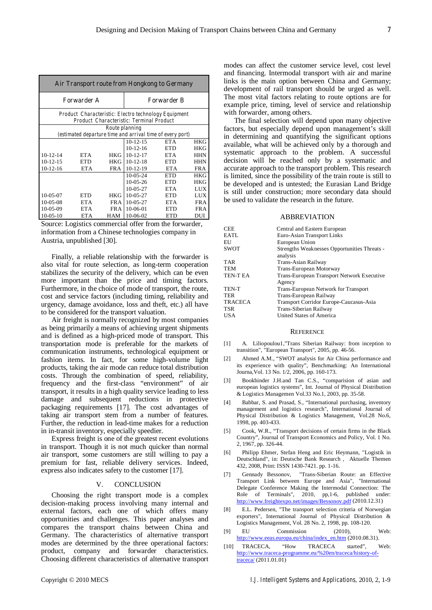| Air Transport route from Hongkong to Germany |                                                                                                  |                |                                                           |            |            |
|----------------------------------------------|--------------------------------------------------------------------------------------------------|----------------|-----------------------------------------------------------|------------|------------|
|                                              | <b>Forwarder A</b><br><b>Forwarder B</b>                                                         |                |                                                           |            |            |
|                                              | Product Characteristic: Electro technology Equipment<br>Product Characteristic: Terminal Product |                |                                                           |            |            |
|                                              |                                                                                                  | Route planning |                                                           |            |            |
|                                              |                                                                                                  |                | (estimated departure time and arrival time of every port) |            |            |
|                                              |                                                                                                  |                | $10-12-15$                                                | <b>ETA</b> | <b>HKG</b> |
|                                              |                                                                                                  |                | $10-12-16$                                                | <b>ETD</b> | <b>HKG</b> |
| $10-12-14$                                   | <b>ETA</b>                                                                                       | <b>HKG</b>     | $10 - 12 - 17$                                            | <b>ETA</b> | <b>HHN</b> |
| $10-12-15$                                   | ETD                                                                                              | <b>HKG</b>     | $10-12-18$                                                | ETD        | <b>HHN</b> |
| $10-12-16$                                   | ETA                                                                                              | FRA            | $10-12-19$                                                | <b>ETA</b> | <b>FRA</b> |
|                                              |                                                                                                  |                | $10-05-24$                                                | <b>ETD</b> | <b>HKG</b> |
|                                              |                                                                                                  |                | 10-05-26                                                  | ETD        | HKG        |
|                                              |                                                                                                  |                | $10-05-27$                                                | <b>ETA</b> | <b>LUX</b> |
| 10-05-07                                     | ETD                                                                                              | HKG            | $10-05-27$                                                | ETD        | <b>LUX</b> |
| $10-05-08$                                   | ETA                                                                                              | FR A           | $10-05-27$                                                | ETA        | FR A       |
| 10-05-09                                     | <b>ETA</b>                                                                                       | FR A           | 10-06-01                                                  | ETD        | <b>FRA</b> |
| $10-05-10$                                   | <b>ETA</b>                                                                                       | <b>HAM</b>     | 10-06-02                                                  | <b>ETD</b> | DUI        |

Source: Logistics commercial offer from the forwarder, information from a Chinese technologies company in Austria, unpublished [30].

Finally, a reliable relationship with the forwarder is also vital for route selection, as long-term cooperation stabilizes the security of the delivery, which can be even more important than the price and timing factors. Furthermore, in the choice of mode of transport, the route, cost and service factors (including timing, reliability and urgency, damage avoidance, loss and theft, etc.) all have to be considered for the transport valuation.

Air freight is normally recognized by most companies as being primarily a means of achieving urgent shipments and is defined as a high-priced mode of transport. This transportation mode is preferable for the markets of communication instruments, technological equipment or fashion items. In fact, for some high-volume light products, taking the air mode can reduce total distribution costs. Through the combination of speed, reliability, frequency and the first-class "environment" of air transport, it results in a high quality service leading to less damage and subsequent reductions in protective packaging requirements [17]. The cost advantages of taking air transport stem from a number of features. Further, the reduction in lead-time makes for a reduction in in-transit inventory, especially speedier.

Express freight is one of the greatest recent evolutions in transport. Though it is not much quicker than normal air transport, some customers are still willing to pay a premium for fast, reliable delivery services. Indeed, express also indicates safety to the customer [17].

#### V. CONCLUSION

Choosing the right transport mode is a complex decision-making process involving many internal and external factors, each one of which offers many opportunities and challenges. This paper analyses and compares the transport chains between China and Germany. The characteristics of alternative transport modes are determined by the three operational factors: product, company and forwarder characteristics. Choosing different characteristics of alternative transport modes can affect the customer service level, cost level and financing. Intermodal transport with air and marine links is the main option between China and Germany; development of rail transport should be urged as well. The most vital factors relating to route options are for example price, timing, level of service and relationship with forwarder, among others.

The final selection will depend upon many objective factors, but especially depend upon management's skill in determining and quantifying the significant options available, what will be achieved only by a thorough and systematic approach to the problem. A successful decision will be reached only by a systematic and accurate approach to the transport problem. This research is limited, since the possibility of the train route is still to be developed and is untested; the Eurasian Land Bridge is still under construction; more secondary data should be used to validate the research in the future.

#### ABBREVIATION

| CEE            | Central and Eastern European                             |
|----------------|----------------------------------------------------------|
| EATL           | Euro-Asian Transport Links                               |
| EU             | European Union                                           |
| <b>SWOT</b>    | Strengths Weaknesses Opportunities Threats -<br>analysis |
| TAR            | Trans-Asian Railway                                      |
| TEM            | Trans-European Motorway                                  |
| TEN-T EA       | Trans-European Transport Network Executive<br>Agency     |
| TEN-T          | Trans-European Network for Transport                     |
| TER            | Trans-European Railway                                   |
| <b>TRACECA</b> | Transport Corridor Europe-Caucasus-Asia                  |
| TSR            | Trans-Siberian Railway                                   |
| <b>USA</b>     | United States of America                                 |
|                |                                                          |

#### **REFERENCE**

- [1] A. Liliopoulou1,"Trans Siberian Railway: from inception to transition", "European Transport", 2005, pp. 46-56.
- [2] Ahmed A.M., "SWOT analysis for Air China performance and its experience with quality", Benchmarking: An International Journa,Vol. 13 No. 1/2, 2006, pp. 160-173.
- [3] Bookbinder J.H.and Tan C.S., "comparision of asian and european logistics systems", Int. Journal of Physical Distribution & Logistics Managemen Vol.33 No.1, 2003, pp. 35-58.
- [4] Babbar, S. and Prasad, S., "International purchasing, inventory management and logistics research", International Journal of Physical Distribution & Logistics Management, Vol.28 No.6, 1998, pp. 403-433.
- [5] Cook, W.R., "Transport decisions of certain firms in the Black Country", Journal of Transport Economics and Policy, Vol. 1 No. 2, 1967, pp. 326-44.
- Philipp Ehmer, Stefan Heng and Eric Heymann, "Logistik in Deutschland", in: Deutsche Bank Research , Aktuelle Themen 432, 2008, Print: ISSN 1430-7421. pp. 1-16.
- [7] Gennady Bessonov, "Trans-Siberian Route: an Effective Transport Link between Europe and Asia", "International Delegate Conference Making the Intermodal Connection: The Role of Terminals", 2010, pp,1-6, published under: http://www.freightexpo.net/images/Bessonov.pdf (2010.12.31)
- [8] E.L. Pedersen, "The transport selection criteria of Norwegian exporters", International Journal of Physical Distribution & Logistics Management, Vol. 28 No. 2, 1998, pp. 108-120.
- [9] EU Commission (2010), Web: http://www.eeas.europa.eu/china/index\_en.htm (2010.08.31).
- [10] TRACECA, "How TRACECA started", Web: http://www.traceca-programme.eu/%20en/traceca/history-oftraceca/ (2011.01.01)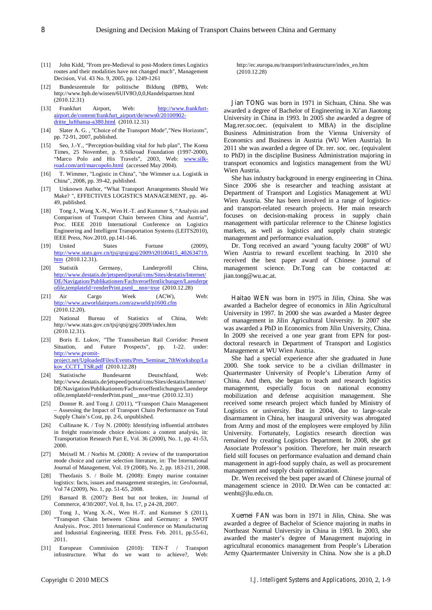- [11] John Kidd, "From pre-Medieval to post-Modern times Logistics routes and their modalities have not changed much", Management Decision, Vol. 43 No. 9, 2005, pp. 1249-1261
- [12] Bundeszentrale für politische Bildung (BPB), Web: http://www.bpb.de/wissen/6UIV8O,0,0,Handelspartner.html (2010.12.31)
- [13] Frankfurt Airport, Web: http://www.frankfurtairport.de/content/frankfurt\_airport/de/news0/20100902 dritte\_lufthansa-a380.html (2010.12.31)
- [14] Slater A. G., "Choice of the Transport Mode", "New Horizons", pp. 72-91, 2007, published.
- [15] Seo, J.-Y., "Perception-building vital for hub plan", The Korea Times, 25 November, p. 9.Silkroad Foundation (1997-2000), "Marco Polo and His Travels", 2003, Web: <u>www.silk-</u> road.com/artl/marcopolo.html (accessed May 2004).
- [16] T. Wimmer, "Logistic in China", "the Wimmer u.a. Logistik in China", 2008, pp. 39-42, published.
- [17] Unknown Author, "What Transport Arrangements Should We Make? ", EFFECTIVES LOGISTICS MANAGEMENT, pp. 46- 49, published.
- [18] Tong J., Wang X.-N., Wen H.-T. and Kummer S, "Analysis and Comparison of Transport Chain between China and Austria", Proc. IEEE 2010 International Conference on Logistics Engineering and Intelligent Transportation Systems (LEITS2010), IEEE Press, Nov.2010, pp.141-146.
- [19] United States Fortune (2009), http://www.stats.gov.cn/tjsj/qtsj/gjsj/2009/t20100415\_402634719. htm (2010.12.31).
- [20] Statistik Germany, Landerprofil China, http://www.destatis.de/jetspeed/portal/cms/Sites/destatis/Internet/ DE/Navigation/Publikationen/Fachveroeffentlichungen/Laenderpr ofile,templateId=renderPrint.psml\_\_nnn=true (2010.12.28)
- [21] Air Cargo Week (ACW), Web: http://www.azworldairports.com/azworld/p1600.cfm (2010.12.20).
- [22] National Bureau of Statistics of China, Web: http://www.stats.gov.cn/tjsj/qtsj/gjsj/2009/index.htm (2010.12.31).
- [23] Boris E. Lukov, "The Transsiberian Rail Corridor: Present Situation, and Future Prospects", pp. 1-22. under: http://www.promitproject.net/UploadedFiles/Events/Pres\_Seminar\_7thWorkshop/Lu kov\_CCTT\_TSR.pdf (2010.12.28)
- [24] Statistische Bundesarmt Deutschland, Web: http://www.destatis.de/jetspeed/portal/cms/Sites/destatis/Internet/ DE/Navigation/Publikationen/Fachveroeffentlichungen/Laenderpr ofile,templateId=renderPrint.psml\_\_nnn=true (2010.12.31)
- [25] Donner R. and Tong J. (2011), "Transport Chain Management – Assessing the Impact of Transport Chain Performance on Total Supply Chain's Cost, pp. 2-6, unpublished.
- [26] Cullinane K. / Toy N. (2000): Identifying influential attributes in freight route/mode choice decisions: a content analysis, in: Transportation Research Part E, Vol. 36 (2000), No. 1, pp. 41-53, 2000.
- [27] Meixell M. / Norbis M. (2008): A review of the transportation mode choice and carrier selection literature, in: The International Journal of Management, Vol. 19 (2008), No. 2, pp. 183-211, 2008.
- [28] Theofanis S. / Boile M. (2008): Empty marine container logistics: facts, issues and management strategies, in: GeoJournal, Vol 74 (2009), No. 1, pp. 51-65, 2008.
- [29] Barnard B. (2007): Bent but not broken, in: Journal of Commerce, 4/30/2007, Vol. 8, Iss. 17, p 24-28, 2007.
- [30] Tong J., Wang X.-N., Wen H.-T. and Kummer S (2011), "Transport Chain between China and Germany: a SWOT Analysis.. Proc. 2011 International Conference on Manufacturing and Industrial Engineering, IEEE Press. Feb. 2011, pp.55-61, 2011.
- [31] European Commission (2010): TEN-T / Transport infrastructure. What do we want to achieve?, Web:

http://ec.europa.eu/transport/infrastructure/index\_en.htm (2010.12.28)

**Jian TONG** was born in 1971 in Sichuan, China. She was awarded a degree of Bachelor of Engineering in Xi'an Jiaotong University in China in 1993. In 2005 she awarded a degree of Mag.rer.soc.oec. (equivalent to MBA) in the discipline Business Administration from the Vienna University of Economics and Business in Austria (WU Wien Austria). In 2011 she was awarded a degree of Dr. rer. soc. oec. (equivalent to PhD) in the discipline Business Administration majoring in transport economics and logistics management from the WU Wien Austria.

She has industry background in energy engineering in China. Since 2006 she is researcher and teaching assistant at Department of Transport and Logistics Management at WU Wien Austria. She has been involved in a range of logisticsand transport-related research projects. Her main research focuses on decision-making process in supply chain management with particular reference to the Chinese logistics markets, as well as logistics and supply chain strategic management and performance evaluation.

Dr. Tong received an award "young faculty 2008" of WU Wien Austria to reward excellent teaching. In 2010 she received the best paper award of Chinese journal of management science. Dr.Tong can be contacted at: jian.tong@wu.ac.at.

**Haitao WEN** was born in 1975 in Jilin, China. She was awarded a Bachelor degree of economics in Jilin Agricultural University in 1997. In 2000 she was awarded a Master degree of management in Jilin Agricultural University. In 2007 she was awarded a PhD in Economics from Jilin University, China. In 2009 she received a one year grant from EPN for postdoctoral research in Department of Transport and Logistics Management at WU Wien Austria.

She had a special experience after she graduated in June 2000. She took service to be a civilian drillmaster in Quartermaster University of People's Liberation Army of China. And then, she began to teach and research logistics management, especially focus on national economy mobilization and defense acquisition management. She received some research project which funded by Ministry of Logistics or university. But in 2004, due to large-scale disarmament in China, her inaugural university was abrogated from Army and most of the employees were employed by Jilin University. Fortunately, Logistics research direction was remained by creating Logistics Department. In 2008, she got Associate Professor's position. Therefore, her main research field still focuses on performance evaluation and demand chain management in agri-food supply chain, as well as procurement management and supply chain optimization.

Dr. Wen received the best paper award of Chinese journal of management science in 2010. Dr.Wen can be contacted at: wenht@jlu.edu.cn.

**Xuemei FAN** was born in 1971 in Jilin, China. She was awarded a degree of Bachelor of Science majoring in maths in Northeast Normal University in China in 1993. In 2003, she awarded the master's degree of Management majoring in agricultural economics management from People's Liberation Army Quartermaster University in China. Now she is a ph.D